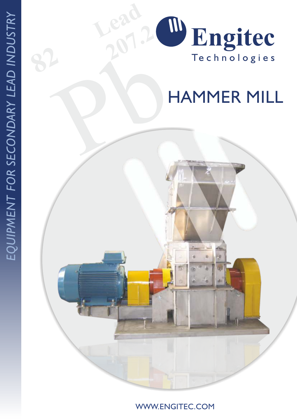

WWW.ENGITEC.COM